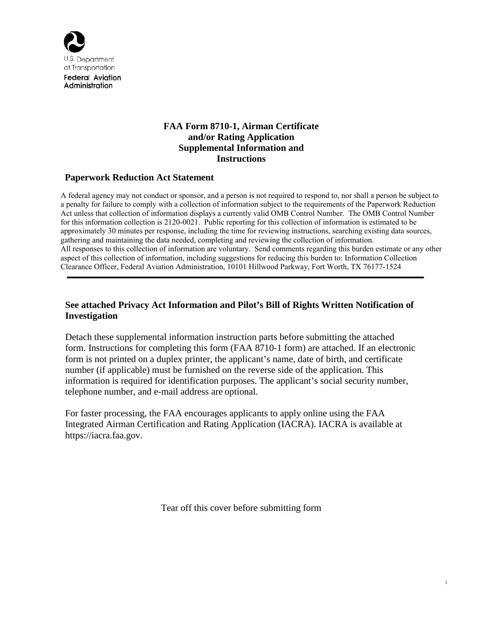

Administration

## **FAA Form 8710-1, Airman Certificate and/or Rating Application Supplemental Information and Instructions**

## **Paperwork Reduction Act Statement**

A federal agency may not conduct or sponsor, and a person is not required to respond to, nor shall a person be subject to a penalty for failure to comply with a collection of information subject to the requirements of the Paperwork Reduction Act unless that collection of information displays a currently valid OMB Control Number. The OMB Control Number for this information collection is 2120-0021. Public reporting for this collection of information is estimated to be approximately 30 minutes per response, including the time for reviewing instructions, searching existing data sources, gathering and maintaining the data needed, completing and reviewing the collection of information. All responses to this collection of information are voluntary. Send comments regarding this burden estimate or any other aspect of this collection of information, including suggestions for reducing this burden to: Information Collection Clearance Officer, Federal Aviation Administration, 10101 Hillwood Parkway, Fort Worth, TX 76177-1524

## **See attached Privacy Act Information and Pilot's Bill of Rights Written Notification of Investigation**

Detach these supplemental information instruction parts before submitting the attached form. Instructions for completing this form (FAA 8710-1 form) are attached. If an electronic form is not printed on a duplex printer, the applicant's name, date of birth, and certificate number (if applicable) must be furnished on the reverse side of the application. This information is required for identification purposes. The applicant's social security number, telephone number, and e-mail address are optional.

For faster processing, the FAA encourages applicants to apply online using the FAA Integrated Airman Certification and Rating Application (IACRA). IACRA is available at https://iacra.faa.gov.

Tear off this cover before submitting form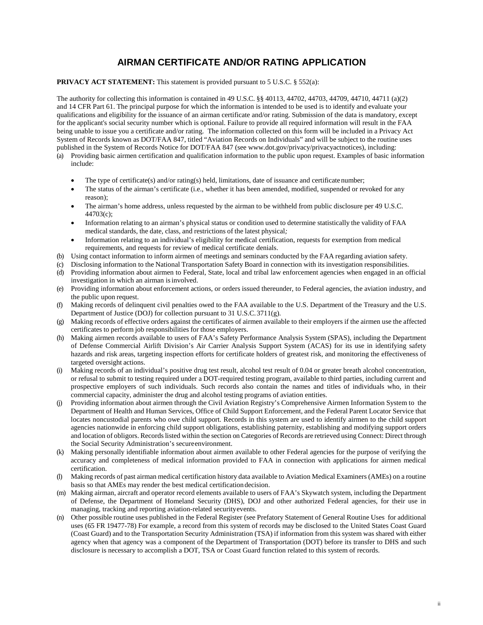# **AIRMAN CERTIFICATE AND/OR RATING APPLICATION**

### **PRIVACY ACT STATEMENT:** This statement is provided pursuant to 5 U.S.C. § 552(a):

The authority for collecting this information is contained in 49 U.S.C. §§ 40113, 44702, 44703, 44709, 44710, 44711 (a)(2) and 14 CFR Part 61. The principal purpose for which the information is intended to be used is to identify and evaluate your qualifications and eligibility for the issuance of an airman certificate and/or rating. Submission of the data is mandatory, except for the applicant's social security number which is optional. Failure to provide all required information will result in the FAA being unable to issue you a certificate and/or rating. The information collected on this form will be included in a Privacy Act System of Records known as DOT/FAA 847, titled "Aviation Records on Individuals" and will be subject to the routine uses published in the System of Records Notice for DOT/FAA [847 \(see www.dot.gov/privacy/privacy](http://www.dot.gov/privacy/privacyactnotices)actnotices), including: (a) Providing basic airmen certification and qualification information to the public upon request. Examples of basic information

- include:
	- The type of certificate(s) and/or rating(s) held, limitations, date of issuance and certificate number;
	- The status of the airman's certificate (i.e., whether it has been amended, modified, suspended or revoked for any reason);
	- The airman's home address, unless requested by the airman to be withheld from public disclosure per 49 U.S.C. 44703(c);
	- Information relating to an airman's physical status or condition used to determine statistically the validity of FAA medical standards, the date, class, and restrictions of the latest physical*;*
	- Information relating to an individual's eligibility for medical certification, requests for exemption from medical requirements, and requests for review of medical certificate denials.
- (b) Using contact information to inform airmen of meetings and seminars conducted by the FAA regarding aviation safety.
- (c) Disclosing information to the National Transportation Safety Board in connection with its investigation responsibilities.
- (d) Providing information about airmen to Federal, State, local and tribal law enforcement agencies when engaged in an official investigation in which an airman is involved.
- (e) Providing information about enforcement actions, or orders issued thereunder, to Federal agencies, the aviation industry, and the public upon request.
- (f) Making records of delinquent civil penalties owed to the FAA available to the U.S. Department of the Treasury and the U.S. Department of Justice (DOJ) for collection pursuant to 31 U.S.C.3711(g).
- (g) Making records of effective orders against the certificates of airmen available to their employers if the airmen use the affected certificates to perform job responsibilities for those employers.
- (h) Making airmen records available to users of FAA's Safety Performance Analysis System (SPAS), including the Department of Defense Commercial Airlift Division's Air Carrier Analysis Support System (ACAS) for its use in identifying safety hazards and risk areas, targeting inspection efforts for certificate holders of greatest risk, and monitoring the effectiveness of targeted oversight actions.
- (i) Making records of an individual's positive drug test result, alcohol test result of 0.04 or greater breath alcohol concentration, or refusal to submit to testing required under a DOT-required testing program, available to third parties, including current and prospective employers of such individuals. Such records also contain the names and titles of individuals who, in their commercial capacity, administer the drug and alcohol testing programs of aviation entities.
- (j) Providing information about airmen through the Civil Aviation Registry's Comprehensive Airmen Information System to the Department of Health and Human Services, Office of Child Support Enforcement, and the Federal Parent Locator Service that locates noncustodial parents who owe child support. Records in this system are used to identify airmen to the child support agencies nationwide in enforcing child support obligations, establishing paternity, establishing and modifying support orders and location of obligors. Records listed within the section on Categories of Records are retrieved using Connect: Direct through the Social Security Administration's secureenvironment.
- (k) Making personally identifiable information about airmen available to other Federal agencies for the purpose of verifying the accuracy and completeness of medical information provided to FAA in connection with applications for airmen medical certification.
- (l) Making records of past airman medical certification history data available to Aviation Medical Examiners (AMEs) on a routine basis so that AMEs may render the best medical certificationdecision.
- (m) Making airman, aircraft and operator record elements available to users of FAA's Skywatch system, including the Department of Defense, the Department of Homeland Security (DHS), DOJ and other authorized Federal agencies, for their use in managing, tracking and reporting aviation-related securityevents.
- (n) Other possible routine uses published in the Federal Register (see Prefatory Statement of General Routine Uses for additional uses (65 FR 19477-78) For example, a record from this system of records may be disclosed to the United States Coast Guard (Coast Guard) and to the Transportation Security Administration (TSA) if information from this system was shared with either agency when that agency was a component of the Department of Transportation (DOT) before its transfer to DHS and such disclosure is necessary to accomplish a DOT, TSA or Coast Guard function related to this system of records.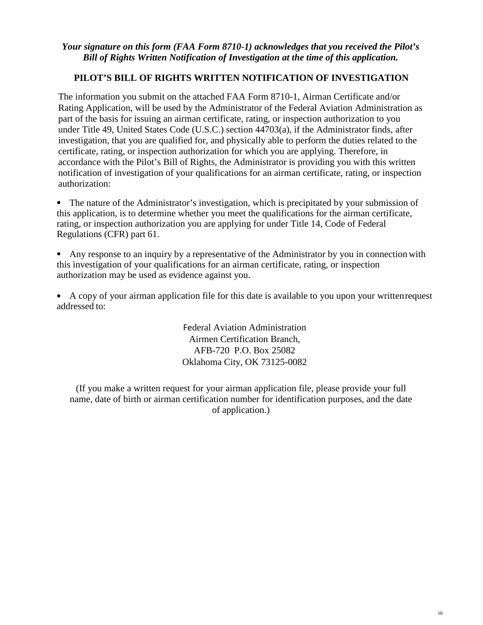## *Your signature on this form (FAA Form 8710-1) acknowledges that you received the Pilot's Bill of Rights Written Notification of Investigation at the time of this application.*

# **PILOT'S BILL OF RIGHTS WRITTEN NOTIFICATION OF INVESTIGATION**

The information you submit on the attached FAA Form 8710-1, Airman Certificate and/or Rating Application, will be used by the Administrator of the Federal Aviation Administration as part of the basis for issuing an airman certificate, rating, or inspection authorization to you under Title 49, United States Code (U.S.C.) section 44703(a), if the Administrator finds, after investigation, that you are qualified for, and physically able to perform the duties related to the certificate, rating, or inspection authorization for which you are applying. Therefore, in accordance with the Pilot's Bill of Rights, the Administrator is providing you with this written notification of investigation of your qualifications for an airman certificate, rating, or inspection authorization:

• The nature of the Administrator's investigation, which is precipitated by your submission of this application, is to determine whether you meet the qualifications for the airman certificate, rating, or inspection authorization you are applying for under Title 14, Code of Federal Regulations (CFR) part 61.

• Any response to an inquiry by a representative of the Administrator by you in connection with this investigation of your qualifications for an airman certificate, rating, or inspection authorization may be used as evidence against you.

• A copy of your airman application file for this date is available to you upon your written request addressed to:

> Federal Aviation Administration Airmen Certification Branch, AFB-720 P.O. Box 25082 Oklahoma City, OK 73125-0082

(If you make a written request for your airman application file, please provide your full name, date of birth or airman certification number for identification purposes, and the date of application.)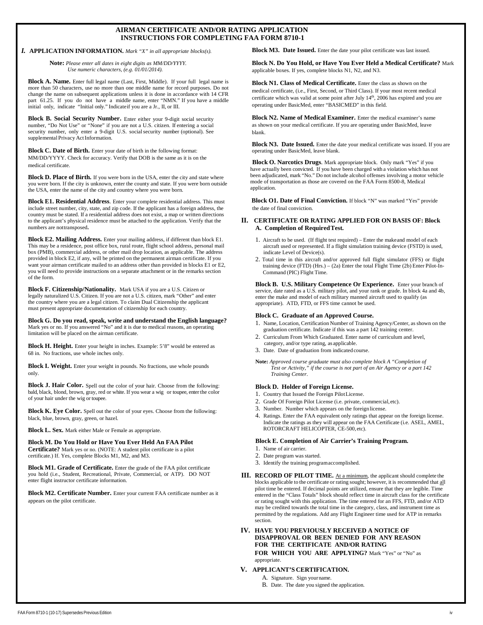### **AIRMAN CERTIFICATE AND/OR RATING APPLICATION INSTRUCTIONS FOR COMPLETING FAA FORM 8710-1**

### *I.* **APPLICATION INFORMATION.** *Mark "X" in all appropriate blocks(s).*

**Note:** *Please enter all dates in eight digits as MM/DD/YYYY. Use numeric characters, (e.g. 01/01/2014).*

**Block A. Name.** Enter full legal name (Last, First, Middle). If your full legal name is more than 50 characters, use no more than one middle name for record purposes. Do not change the name on subsequent applications unless it is done in accordance with 14 CFR part 61.25. If you do not have a middle name, enter "NMN." If you have a middle initial only, indicate "Initial only." Indicateif you are a Jr., II, or III.

**Block B. Social Security Number.** Enter either your 9-digit social security number, "Do Not Use" or "None" if you are not a U.S. citizen. If entering a social security number, only enter a 9-digit U.S. social security number (optional). See supplemental Privacy Act Information.

**Block C. Date of Birth.** Enter your date of birth in the following format: MM/DD/YYYY. Check for accuracy. Verify that DOB is the same as it is on the medical certificate.

**Block D. Place of Birth.** If you were born in the USA, enter the city and state where you were born. If the city is unknown, enter the county and state. If you were born outside the USA, enter the name of the city and country where you were born.

**Block E1. Residential Address**. Enter your complete residential address. This must include street number, city, state, and zip code. If the applicant has a foreign address, the country must be stated. If a residential address does not exist, a map or written directions to the applicant's physical residence must be attached to the application. Verify that the numbers are not transposed**.**

**Block E2. Mailing Address.** Enter your mailing address, if different than block E1. This may be a residence, post office box, rural route, flight school address, personal mail box (PMB), commercial address, or other mail drop location, as applicable. The address provided in block E2, if any, will be printed on the permanent airman certificate. If you want your airman certificate mailed to an address other than provided in blocks E1 or E2, you will need to provide instructions on a separate attachment or in the remarks section of the form.

**Block F. Citizenship/Nationality.** Mark USA if you are a U.S. Citizen or legally naturalized U.S. Citizen. If you are not a U.S. citizen, mark "Other" and enter the country where you are a legal citizen. To claim Dual Citizenship the applicant must present appropriate documentation of citizenship for each country.

**Block G. Do you read, speak, write and understand the English language?** Mark yes or no. If you answered "No" and it is due to medical reasons, an operating limitation will be placed on the airman certificate.

**Block H. Height.** Enter your height in inches. Example: 5'8" would be entered as 68 in. No fractions, use whole inches only.

**Block I. Weight.** Enter your weight in pounds. No fractions, use whole pounds only.

**Block J. Hair Color.** Spell out the color of your hair. Choose from the following: bald, black, blond, brown, gray, red or white. If you wear a wig or toupee, enter the color of your hair under the wig or toupee.

**Block K. Eye Color.** Spell out the color of your eyes. Choose from the following: black, blue, brown, gray, green, or hazel.

**Block L. Sex.** Mark either Male or Female as appropriate.

**Block M. Do You Hold or Have You Ever Held An FAA Pilot Certificate?** Mark yes or no. (NOTE: A student pilot certificate is a pilot certificate.) If. Yes, complete Blocks M1, M2, and M3.

**Block M1. Grade of Certificate.** Enter the grade of the FAA pilot certificate you hold (i.e., Student, Recreational, Private, Commercial, or ATP). DO NOT enter flight instructor certificate information.

**Block M2. Certificate Number.** Enter your current FAA certificate number as it appears on the pilot certificate.

**Block M3. Date Issued.** Enter the date your pilot certificate was last issued.

**Block N. Do You Hold, or Have You Ever Held a Medical Certificate?** Mark applicable boxes. If yes, complete blocks N1, N2, and N3.

**Block N1. Class of Medical Certificate.** Enter the class as shown on the medical certificate, (i.e., First, Second, or Third Class). If your most recent medical certificate which was valid at some point after July 14<sup>th</sup>, 2006 has expired and you are operating under BasicMed, enter "BASICMED" in this field.

**Block N2. Name of Medical Examiner.** Enter the medical examiner's name as shown on your medical certificate. If you are operating under BasicMed, leave blank.

**Block N3. Date Issued.** Enter the date your medical certificate was issued. If you are operating under BasicMed, leave blank.

**Block O. Narcotics Drugs**. Mark appropriate block. Only mark "Yes" if you have actually been convicted. If you have been charged with a violation which has not been adjudicated, mark "No." Do not include alcohol offenses involving a motor vehicle mode of transportation as those are covered on the FAA Form 8500-8, Medical application.

**Block O1. Date of Final Conviction.** If block "N" was marked "Yes" provide the date of final conviction.

### **II. CERTIFICATE OR RATING APPLIED FOR ON BASIS OF: Block A. Completion of RequiredTest.**

- 1. Aircraft to be used. (If flight test required) Enter the makeand model of each aircraft used or represented. If a flight simulation training device (FSTD) is used, indicate Level of Device(s).
- 2. Total time in this aircraft and/or approved full flight simulator (FFS) or flight training device (FTD) (Hrs.) – (2a) Enter the total Flight Time (2b) Enter Pilot-In-Command (PIC) Flight Time.

**Block B. U.S. Military Competence Or Experience.** Enter your branch of service, date rated as a U.S. military pilot, and your rank or grade. In block 4a and 4b, enter the make and model of each military manned aircraft used to qualify (as appropriate). ATD, FTD, or FFS time cannot be used.

#### **Block C. Graduate of an Approved Course.**

- 1. Name, Location, Certification Number of Training Agency/Center, as shown on the graduation certificate. Indicate if this was a part 142 training center.
- 2. Curriculum From Which Graduated. Enter name of curriculum and level, category, and/or type rating, as applicable.
- 3. Date. Date of graduation from indicated course.
- **Note:** *Approved course graduate must also complete block A "Completion of Test or Activity," if the course is not part of an Air Agency or a part 142 Training Center.*

#### **Block D. Holder of Foreign License.**

- 1. Country that Issued the Foreign PilotLicense.
- 2. Grade Of Foreign Pilot License (i.e. private, commercial,etc).
- 3. Number. Number which appears on the foreign license.
- 4. Ratings. Enter the FAA equivalent only ratings that appear on the foreign license. Indicate the ratings as they will appear on the FAA Certificate (i.e. ASEL, AMEL, ROTORCRAFT HELICOPTER, CE-500, etc).

#### **Block E. Completion of Air Carrier's Training Program.**

- 1. Name of air carrier.
- 2. Date program was started.
- 3. Identify the training programaccomplished.
- **III. RECORD OF PILOT TIME.** At a minimum, the applicant should complete the blocks applicable to the certificate or rating sought; however, it is recommended that all pilot time be entered. If decimal points are utilized, ensure that they are legible. Time entered in the "Class Totals" block should reflect time in aircraft class for the certificate or rating sought with this application. The time entered for an FFS, FTD, and/or ATD may be credited towards the total time in the category, class, and instrument time as permitted by the regulations. Add any Flight Engineer time used for ATP in remarks section.
- **IV. HAVE YOU PREVIOUSLY RECEIVED A NOTICE OF DISAPPROVAL OR BEEN DENIED FOR ANY REASON FOR THE CERTIFICATE AND/OR RATING FOR WHICH YOU ARE APPLYING?** Mark "Yes" or "No" as appropriate.
- **V. APPLICANT'S CERTIFICATION.**
	- A. Signature. Sign yourname.
	- B. Date. The date you signed the application.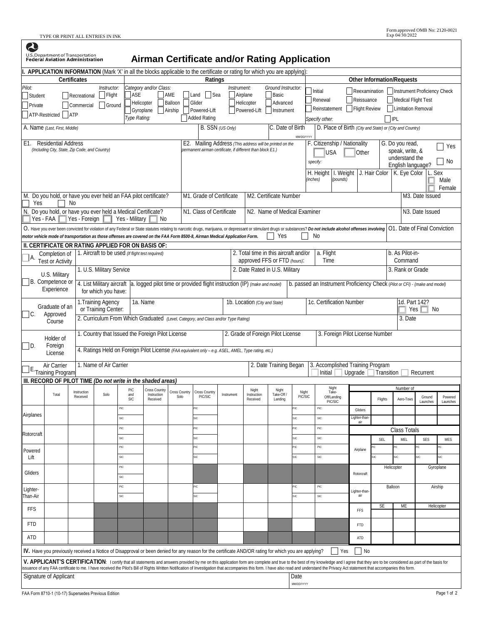TYPE OR PRINT ALL ENTRIES IN INK

2

| <b>U.S. Department of Transportation<br/>Federal Aviation Administration</b><br>Airman Certificate and/or Rating Application |                                                                                                                             |                                            |                                                                                    |                      |                                                                       |                                                                                                     |                                                                                                                        |                               |                                                                                                                                                             |                                                       |                         |                                                                                                                                                                                                                                                                                                                                                                                                                                                                 |                                                                             |                                |                                                                                                  |                              |                     |  |  |
|------------------------------------------------------------------------------------------------------------------------------|-----------------------------------------------------------------------------------------------------------------------------|--------------------------------------------|------------------------------------------------------------------------------------|----------------------|-----------------------------------------------------------------------|-----------------------------------------------------------------------------------------------------|------------------------------------------------------------------------------------------------------------------------|-------------------------------|-------------------------------------------------------------------------------------------------------------------------------------------------------------|-------------------------------------------------------|-------------------------|-----------------------------------------------------------------------------------------------------------------------------------------------------------------------------------------------------------------------------------------------------------------------------------------------------------------------------------------------------------------------------------------------------------------------------------------------------------------|-----------------------------------------------------------------------------|--------------------------------|--------------------------------------------------------------------------------------------------|------------------------------|---------------------|--|--|
| APPLICATION INFORMATION (Mark 'X' in all the blocks applicable to the certificate or rating for which you are applying):     |                                                                                                                             |                                            |                                                                                    |                      |                                                                       |                                                                                                     |                                                                                                                        |                               |                                                                                                                                                             |                                                       |                         |                                                                                                                                                                                                                                                                                                                                                                                                                                                                 | <b>Other Information/Requests</b>                                           |                                |                                                                                                  |                              |                     |  |  |
| Pilot:<br>Student<br>Private                                                                                                 | ATP-Restricted <b>ATP</b>                                                                                                   | Certificates<br>Recreational<br>Commercial | Instructor:<br>Flight<br>Ground                                                    | ASE<br>Type Rating:  | Category and/or Class:<br>Helicopter<br>Gyroplane                     | AME<br>Balloon<br>Airship                                                                           | Ratings<br>Land<br>Sea<br>Glider<br>Powered-Lift<br>Added Rating                                                       |                               | Instrument:<br>Airplane<br>Helicopter<br>Powered-Lift                                                                                                       | Ground Instructor:<br>Basic<br>Advanced<br>Instrument |                         | Initial<br>Renewal<br>Reinstatement<br>Specify other:                                                                                                                                                                                                                                                                                                                                                                                                           | Reissuance<br>Flight Review                                                 |                                | Reexamination   Instrument Proficiency Check<br>Medical Flight Test<br>Limitation Removal<br>IPL |                              |                     |  |  |
|                                                                                                                              | A. Name (Last, First, Middle)                                                                                               |                                            |                                                                                    |                      |                                                                       |                                                                                                     |                                                                                                                        | B. SSN (US Only)              |                                                                                                                                                             | C. Date of Birth                                      |                         | D. Place of Birth (City and State) or (City and Country)                                                                                                                                                                                                                                                                                                                                                                                                        |                                                                             |                                |                                                                                                  |                              |                     |  |  |
|                                                                                                                              | E1. Residential Address<br>(Including City, State, Zip Code, and Country)                                                   |                                            |                                                                                    |                      |                                                                       |                                                                                                     | E2. Mailing Address (This address will be printed on the<br>permanent airman certificate, if different than block E1.) |                               |                                                                                                                                                             |                                                       |                         | <b>MMDD/YYYY</b><br>F. Citizenship / Nationality<br>G. Do you read,<br>speak, write, &<br><b>USA</b><br>Other<br>understand the<br>No<br>specify:<br>English language?<br>I. Weight J. Hair Color   K. Eye Color<br>L. Sex<br>H. Height<br>(inches)<br>(pounds)<br>Male                                                                                                                                                                                         |                                                                             |                                |                                                                                                  |                              | Yes<br>Female       |  |  |
| Yes                                                                                                                          | M. Do you hold, or have you ever held an FAA pilot certificate?                                                             | No                                         |                                                                                    |                      |                                                                       |                                                                                                     | M1. Grade of Certificate                                                                                               |                               |                                                                                                                                                             | M2. Certificate Number                                |                         |                                                                                                                                                                                                                                                                                                                                                                                                                                                                 |                                                                             |                                |                                                                                                  | M <sub>3</sub> . Date Issued |                     |  |  |
|                                                                                                                              | N. Do you hold, or have you ever held a Medical Certificate?<br>Yes - FAA                                                   | Yes - Foreign                              |                                                                                    | Yes - Military       | No                                                                    |                                                                                                     | N1. Class of Certificate                                                                                               |                               |                                                                                                                                                             | N2. Name of Medical Examiner                          |                         |                                                                                                                                                                                                                                                                                                                                                                                                                                                                 |                                                                             |                                |                                                                                                  | N <sub>3</sub> . Date Issued |                     |  |  |
|                                                                                                                              | motor vehicle mode of transportation as those offenses are covered on the FAA Form 8500-8, Airman Medical Application Form. |                                            |                                                                                    |                      |                                                                       |                                                                                                     |                                                                                                                        |                               |                                                                                                                                                             | Yes                                                   |                         | O. Have you ever been convicted for violation of any Federal or State statutes relating to narcotic drugs, marijuana, or depressant or stimulant drugs or substances? Do not include alcohol offenses involving<br>No                                                                                                                                                                                                                                           |                                                                             |                                | O1. Date of Final Conviction                                                                     |                              |                     |  |  |
|                                                                                                                              | II. CERTIFICATE OR RATING APPLIED FOR ON BASIS OF:                                                                          |                                            |                                                                                    |                      |                                                                       |                                                                                                     |                                                                                                                        |                               |                                                                                                                                                             |                                                       |                         |                                                                                                                                                                                                                                                                                                                                                                                                                                                                 |                                                                             |                                |                                                                                                  |                              |                     |  |  |
| А.                                                                                                                           | 1. Aircraft to be used (If flight test required)<br>Completion of<br><b>Test or Activity</b>                                |                                            |                                                                                    |                      | 2. Total time in this aircraft and/or<br>approved FFS or FTD (hours): |                                                                                                     |                                                                                                                        |                               |                                                                                                                                                             | a. Flight<br>Time                                     |                         | b. As Pilot-in-<br>Command                                                                                                                                                                                                                                                                                                                                                                                                                                      |                                                                             |                                |                                                                                                  |                              |                     |  |  |
|                                                                                                                              | U.S. Military                                                                                                               |                                            | 1. U.S. Military Service                                                           |                      |                                                                       |                                                                                                     | 2. Date Rated in U.S. Military                                                                                         |                               |                                                                                                                                                             |                                                       |                         |                                                                                                                                                                                                                                                                                                                                                                                                                                                                 |                                                                             | 3. Rank or Grade               |                                                                                                  |                              |                     |  |  |
|                                                                                                                              | B. Competence or<br>Experience                                                                                              |                                            | 4. List Military aircraft<br>for which you have:                                   |                      |                                                                       |                                                                                                     |                                                                                                                        |                               | a. logged pilot time or provided flight instruction (IP) (make and model)                                                                                   |                                                       |                         |                                                                                                                                                                                                                                                                                                                                                                                                                                                                 | b. passed an Instrument Proficiency Check (Pilot or CFI) - (make and model) |                                |                                                                                                  |                              |                     |  |  |
| Graduate of an<br>$C$ .<br>Approved<br>Course                                                                                |                                                                                                                             |                                            | 1a. Name<br>1. Training Agency<br>or Training Center:                              |                      |                                                                       |                                                                                                     |                                                                                                                        | 1b. Location (City and State) |                                                                                                                                                             |                                                       |                         | 1c. Certification Number                                                                                                                                                                                                                                                                                                                                                                                                                                        |                                                                             | 1d. Part 142?<br>Yes $ $<br>No |                                                                                                  |                              |                     |  |  |
|                                                                                                                              |                                                                                                                             |                                            | 2. Curriculum From Which Graduated (Level, Category, and Class and/or Type Rating) |                      |                                                                       |                                                                                                     |                                                                                                                        |                               |                                                                                                                                                             | 3. Date                                               |                         |                                                                                                                                                                                                                                                                                                                                                                                                                                                                 |                                                                             |                                |                                                                                                  |                              |                     |  |  |
| Holder of<br>ID.<br>Foreign                                                                                                  |                                                                                                                             |                                            |                                                                                    |                      | 1. Country that Issued the Foreign Pilot License                      |                                                                                                     | 2. Grade of Foreign Pilot License                                                                                      |                               |                                                                                                                                                             |                                                       |                         | 3. Foreign Pilot License Number                                                                                                                                                                                                                                                                                                                                                                                                                                 |                                                                             |                                |                                                                                                  |                              |                     |  |  |
|                                                                                                                              | License                                                                                                                     |                                            |                                                                                    |                      |                                                                       | 4. Ratings Held on Foreign Pilot License (FAA equivalent only - e.g. ASEL, AMEL, Type rating, etc.) |                                                                                                                        |                               |                                                                                                                                                             |                                                       |                         |                                                                                                                                                                                                                                                                                                                                                                                                                                                                 |                                                                             |                                |                                                                                                  |                              |                     |  |  |
|                                                                                                                              | Air Carrier<br><b>Training Program</b>                                                                                      |                                            | 1. Name of Air Carrier                                                             |                      |                                                                       |                                                                                                     |                                                                                                                        |                               |                                                                                                                                                             | 2. Date Training Began                                |                         | 3. Accomplished Training Program<br>Initial                                                                                                                                                                                                                                                                                                                                                                                                                     | Upgrade                                                                     | Transition                     |                                                                                                  | Recurrent                    |                     |  |  |
|                                                                                                                              | III. RECORD OF PILOT TIME (Do not write in the shaded areas)                                                                |                                            |                                                                                    | PIC<br>Cross Country |                                                                       |                                                                                                     |                                                                                                                        |                               | Night                                                                                                                                                       |                                                       | Night                   | Night                                                                                                                                                                                                                                                                                                                                                                                                                                                           |                                                                             |                                | Number of                                                                                        |                              |                     |  |  |
|                                                                                                                              | Total                                                                                                                       | Instruction<br>Received                    | Solo                                                                               | and<br><b>SIC</b>    | Instruction<br>Received                                               | Cross Country<br>Solo                                                                               | Cross Country<br><b>PIC/SIC</b>                                                                                        | Instrument                    | Instruction<br>Received                                                                                                                                     | Take-Off<br>Landing                                   | Night<br><b>PIC/SIC</b> | Take-<br>Off/Landing<br>PIC/SIC                                                                                                                                                                                                                                                                                                                                                                                                                                 |                                                                             | Flights                        | Aero-Tows                                                                                        | Ground<br>Launches           | Powered<br>Launches |  |  |
| Airplanes                                                                                                                    |                                                                                                                             |                                            |                                                                                    | PIC<br><b>SIC</b>    |                                                                       |                                                                                                     | PIC<br>SIC                                                                                                             |                               |                                                                                                                                                             |                                                       | PIC<br>SIC              | PIC<br>SIC                                                                                                                                                                                                                                                                                                                                                                                                                                                      | Gliders<br>Lighter-than                                                     |                                |                                                                                                  |                              |                     |  |  |
|                                                                                                                              |                                                                                                                             |                                            |                                                                                    | PIC                  |                                                                       |                                                                                                     | PIC                                                                                                                    |                               |                                                                                                                                                             |                                                       | PIC                     | PIC                                                                                                                                                                                                                                                                                                                                                                                                                                                             | air                                                                         |                                | Class Totals                                                                                     |                              |                     |  |  |
| Rotorcraft                                                                                                                   |                                                                                                                             |                                            |                                                                                    | <b>SIC</b>           |                                                                       |                                                                                                     | SIC                                                                                                                    |                               |                                                                                                                                                             |                                                       | SIC                     | SIC                                                                                                                                                                                                                                                                                                                                                                                                                                                             |                                                                             | SEL                            | MEL                                                                                              | <b>SES</b>                   | <b>MES</b>          |  |  |
| Powered                                                                                                                      |                                                                                                                             |                                            |                                                                                    | PIC                  |                                                                       |                                                                                                     | PIC                                                                                                                    |                               |                                                                                                                                                             |                                                       | PIC                     | PIC                                                                                                                                                                                                                                                                                                                                                                                                                                                             | Airplane                                                                    |                                |                                                                                                  | УĊ.                          | PІC                 |  |  |
| Lift                                                                                                                         |                                                                                                                             |                                            |                                                                                    | <b>SIC</b><br>PIC    |                                                                       |                                                                                                     | <b>SIC</b>                                                                                                             |                               |                                                                                                                                                             |                                                       | SIC                     | SIC                                                                                                                                                                                                                                                                                                                                                                                                                                                             |                                                                             | iC                             | SIC.<br>Helicopter                                                                               | <b>SIC</b>                   | sіс<br>Gyroplane    |  |  |
| Gliders                                                                                                                      |                                                                                                                             |                                            |                                                                                    | <b>SIC</b>           |                                                                       |                                                                                                     |                                                                                                                        |                               |                                                                                                                                                             |                                                       |                         |                                                                                                                                                                                                                                                                                                                                                                                                                                                                 | Rotorcraft                                                                  |                                |                                                                                                  |                              |                     |  |  |
| Lighter-<br>Than-Air                                                                                                         |                                                                                                                             |                                            |                                                                                    | PIC<br>SIC           |                                                                       |                                                                                                     | PIC<br><b>SIC</b>                                                                                                      |                               |                                                                                                                                                             |                                                       | PIC<br>SIC              | PIC<br>SIC                                                                                                                                                                                                                                                                                                                                                                                                                                                      | ighter-than                                                                 | Balloon                        |                                                                                                  | Airship                      |                     |  |  |
| <b>FFS</b>                                                                                                                   |                                                                                                                             |                                            |                                                                                    |                      |                                                                       |                                                                                                     |                                                                                                                        |                               |                                                                                                                                                             |                                                       |                         |                                                                                                                                                                                                                                                                                                                                                                                                                                                                 | FFS                                                                         | <b>SE</b>                      | ME                                                                                               |                              | Helicopter          |  |  |
| <b>FTD</b>                                                                                                                   |                                                                                                                             |                                            |                                                                                    |                      |                                                                       |                                                                                                     |                                                                                                                        |                               |                                                                                                                                                             |                                                       |                         |                                                                                                                                                                                                                                                                                                                                                                                                                                                                 | FTD                                                                         |                                |                                                                                                  |                              |                     |  |  |
| ATD                                                                                                                          |                                                                                                                             |                                            |                                                                                    |                      |                                                                       |                                                                                                     |                                                                                                                        |                               |                                                                                                                                                             |                                                       |                         |                                                                                                                                                                                                                                                                                                                                                                                                                                                                 | ATD                                                                         |                                |                                                                                                  |                              |                     |  |  |
|                                                                                                                              |                                                                                                                             |                                            |                                                                                    |                      |                                                                       |                                                                                                     |                                                                                                                        |                               | <b>IV.</b> Have you previously received a Notice of Disapproval or been denied for any reason for the certificate AND/OR rating for which you are applying? |                                                       |                         | Yes                                                                                                                                                                                                                                                                                                                                                                                                                                                             | <b>No</b>                                                                   |                                |                                                                                                  |                              |                     |  |  |
|                                                                                                                              |                                                                                                                             |                                            |                                                                                    |                      |                                                                       |                                                                                                     |                                                                                                                        |                               |                                                                                                                                                             |                                                       |                         | V. APPLICANT'S CERTIFICATION: I certify that all statements and answers provided by me on this application form are complete and true to the best of my knowledge and I agree that they are to be considered as part of the ba<br>ssuance of any FAA certificate to me. I have received the Pilot's Bill of Rights Written Notification of Investigation that accompanies this form. I have also read and understand the Privacy Act statement that accompanies |                                                                             |                                |                                                                                                  |                              |                     |  |  |
|                                                                                                                              | Signature of Applicant                                                                                                      |                                            |                                                                                    |                      |                                                                       |                                                                                                     |                                                                                                                        |                               |                                                                                                                                                             |                                                       | Date<br>MM/DD/YYYY      |                                                                                                                                                                                                                                                                                                                                                                                                                                                                 |                                                                             |                                |                                                                                                  |                              |                     |  |  |